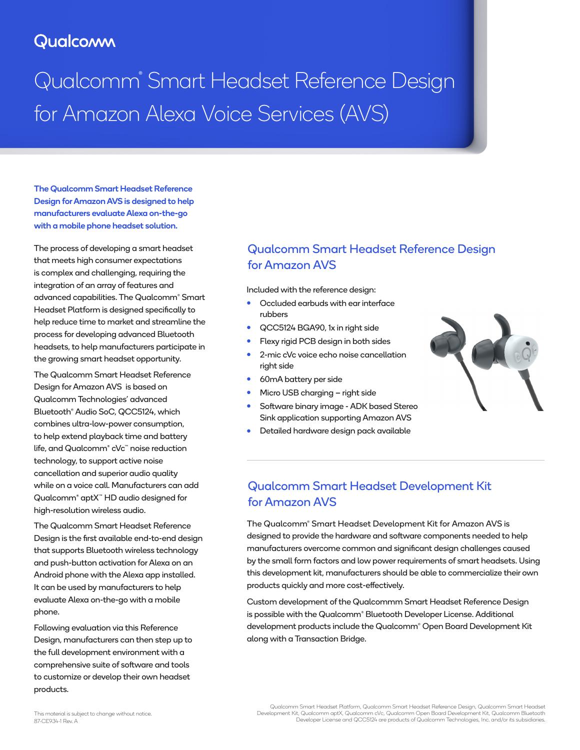# **Qualcomm**

Qualcomm® Smart Headset Reference Design for Amazon Alexa Voice Services (AVS)

The Qualcomm Smart Headset Reference Design for Amazon AVS is designed to help manufacturers evaluate Alexa on-the-go with a mobile phone headset solution.

The process of developing a smart headset that meets high consumer expectations is complex and challenging, requiring the integration of an array of features and advanced capabilities. The Qualcomm® Smart Headset Platform is designed specifically to help reduce time to market and streamline the process for developing advanced Bluetooth headsets, to help manufacturers participate in the growing smart headset opportunity.

The Qualcomm Smart Headset Reference Design for Amazon AVS is based on Qualcomm Technologies' advanced Bluetooth® Audio SoC, QCC5124, which combines ultra-low-power consumption, to help extend playback time and battery life, and Qualcomm® cVc™ noise reduction technology, to support active noise cancellation and superior audio quality while on a voice call. Manufacturers can add Qualcomm® aptX™ HD audio designed for high-resolution wireless audio.

The Qualcomm Smart Headset Reference Design is the first available end-to-end design that supports Bluetooth wireless technology and push-button activation for Alexa on an Android phone with the Alexa app installed. It can be used by manufacturers to help evaluate Alexa on-the-go with a mobile phone.

Following evaluation via this Reference Design, manufacturers can then step up to the full development environment with a comprehensive suite of software and tools to customize or develop their own headset products.

### Qualcomm Smart Headset Reference Design for Amazon AVS

Included with the reference design:

- Occluded earbuds with ear interface rubbers
- QCC5124 BGA90, 1x in right side
- Flexy rigid PCB design in both sides
- 2-mic cVc voice echo noise cancellation right side
- 60mA battery per side
- Micro USB charging right side
- **•** Software binary image ADK based Stereo Sink application supporting Amazon AVS
- Detailed hardware design pack available



## Qualcomm Smart Headset Development Kit for Amazon AVS

The Qualcomm® Smart Headset Development Kit for Amazon AVS is designed to provide the hardware and software components needed to help manufacturers overcome common and significant design challenges caused by the small form factors and low power requirements of smart headsets. Using this development kit, manufacturers should be able to commercialize their own products quickly and more cost-effectively.

Custom development of the Qualcommm Smart Headset Reference Design is possible with the Qualcomm® Bluetooth Developer License. Additional development products include the Qualcomm® Open Board Development Kit along with a Transaction Bridge.

Qualcomm Smart Headset Platform, Qualcomm Smart Headset Reference Design, Qualcomm Smart Headset<br>Development Kit, Qualcomm aptX, Qualcomm cVc, Qualcomm Open Board Development Kit, Qualcomm Bluetooth<br>Developer License and Q